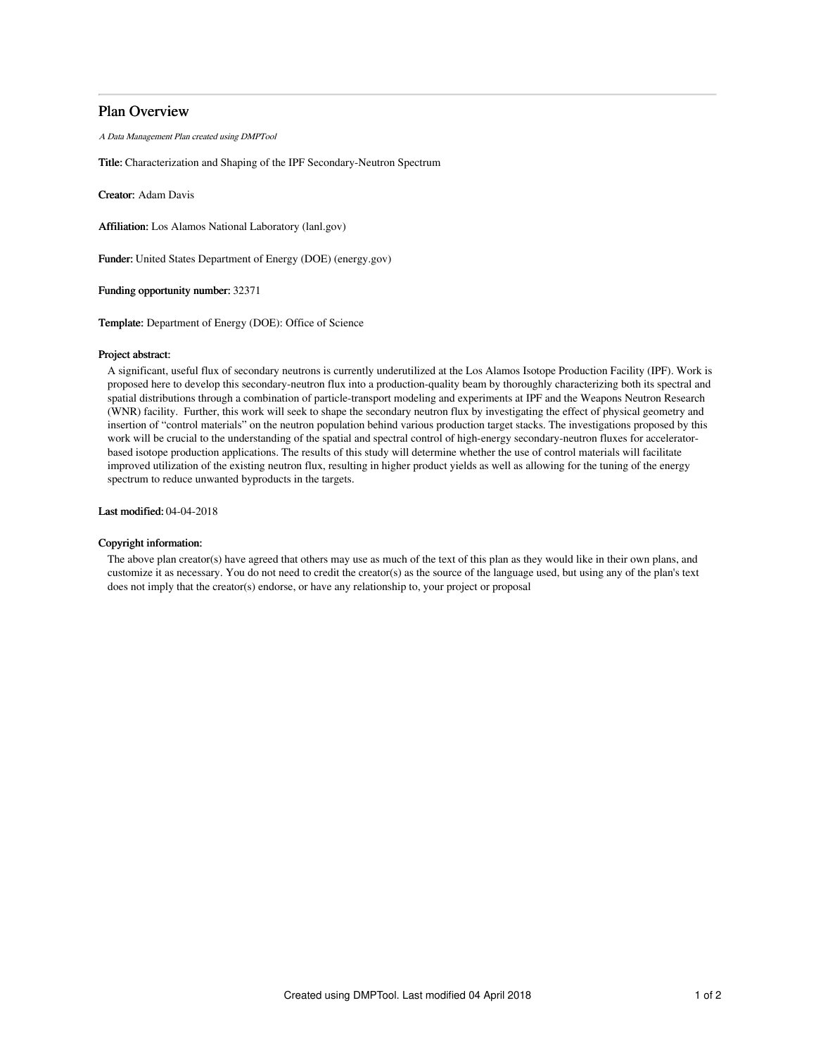## Plan Overview

A Data Management Plan created using DMPTool

Title: Characterization and Shaping of the IPF Secondary-Neutron Spectrum

Creator: Adam Davis

Affiliation: Los Alamos National Laboratory (lanl.gov)

Funder: United States Department of Energy (DOE) (energy.gov)

Funding opportunity number: 32371

Template: Department of Energy (DOE): Office of Science

#### Project abstract:

A significant, useful flux of secondary neutrons is currently underutilized at the Los Alamos Isotope Production Facility (IPF). Work is proposed here to develop this secondary-neutron flux into a production-quality beam by thoroughly characterizing both its spectral and spatial distributions through a combination of particle-transport modeling and experiments at IPF and the Weapons Neutron Research (WNR) facility. Further, this work will seek to shape the secondary neutron flux by investigating the effect of physical geometry and insertion of "control materials" on the neutron population behind various production target stacks. The investigations proposed by this work will be crucial to the understanding of the spatial and spectral control of high-energy secondary-neutron fluxes for acceleratorbased isotope production applications. The results of this study will determine whether the use of control materials will facilitate improved utilization of the existing neutron flux, resulting in higher product yields as well as allowing for the tuning of the energy spectrum to reduce unwanted byproducts in the targets.

Last modified: 04-04-2018

#### Copyright information:

The above plan creator(s) have agreed that others may use as much of the text of this plan as they would like in their own plans, and customize it as necessary. You do not need to credit the creator(s) as the source of the language used, but using any of the plan's text does not imply that the creator(s) endorse, or have any relationship to, your project or proposal